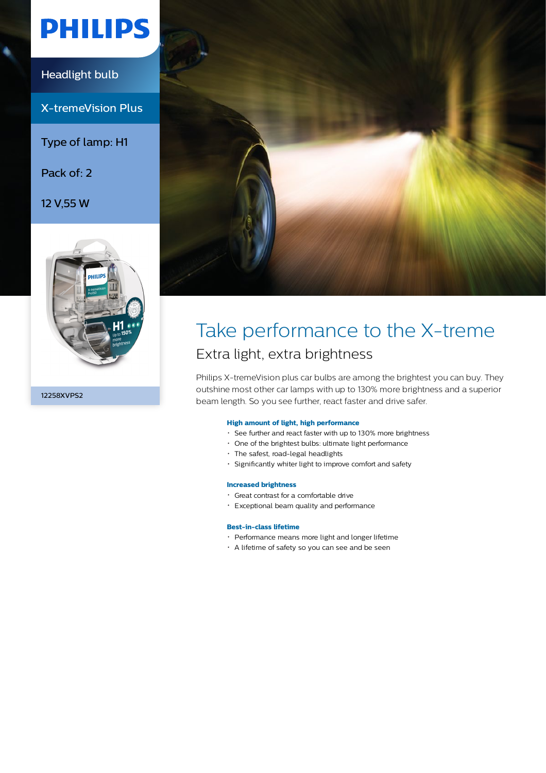# **PHILIPS**

## Headlight bulb

X-tremeVision Plus

Type of lamp: H1

Pack of: 2

12 V,55 W



12258XVPS2



## Take performance to the X-treme Extra light, extra brightness

Philips X-tremeVision plus car bulbs are among the brightest you can buy. They outshine most other car lamps with up to 130% more brightness and a superior beam length. So you see further, react faster and drive safer.

#### **High amount of light, high performance**

- See further and react faster with up to 130% more brightness
- One of the brightest bulbs: ultimate light performance
- The safest, road-legal headlights
- Significantly whiter light to improve comfort and safety

#### **Increased brightness**

- Great contrast for a comfortable drive
- Exceptional beam quality and performance

### **Best-in-class lifetime**

- Performance means more light and longer lifetime
- A lifetime of safety so you can see and be seen